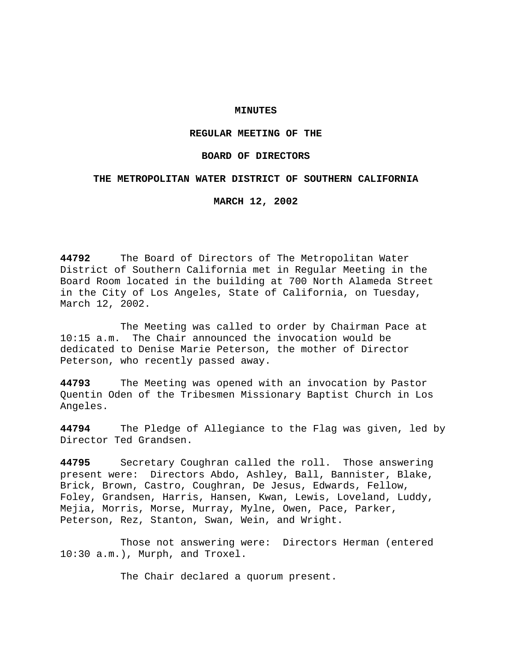## **MINUTES**

# **REGULAR MEETING OF THE**

### **BOARD OF DIRECTORS**

### **THE METROPOLITAN WATER DISTRICT OF SOUTHERN CALIFORNIA**

**MARCH 12, 2002**

**44792** The Board of Directors of The Metropolitan Water District of Southern California met in Regular Meeting in the Board Room located in the building at 700 North Alameda Street in the City of Los Angeles, State of California, on Tuesday, March 12, 2002.

The Meeting was called to order by Chairman Pace at 10:15 a.m. The Chair announced the invocation would be dedicated to Denise Marie Peterson, the mother of Director Peterson, who recently passed away.

**44793** The Meeting was opened with an invocation by Pastor Quentin Oden of the Tribesmen Missionary Baptist Church in Los Angeles.

**44794** The Pledge of Allegiance to the Flag was given, led by Director Ted Grandsen.

**44795** Secretary Coughran called the roll. Those answering present were: Directors Abdo, Ashley, Ball, Bannister, Blake, Brick, Brown, Castro, Coughran, De Jesus, Edwards, Fellow, Foley, Grandsen, Harris, Hansen, Kwan, Lewis, Loveland, Luddy, Mejia, Morris, Morse, Murray, Mylne, Owen, Pace, Parker, Peterson, Rez, Stanton, Swan, Wein, and Wright.

Those not answering were: Directors Herman (entered 10:30 a.m.), Murph, and Troxel.

The Chair declared a quorum present.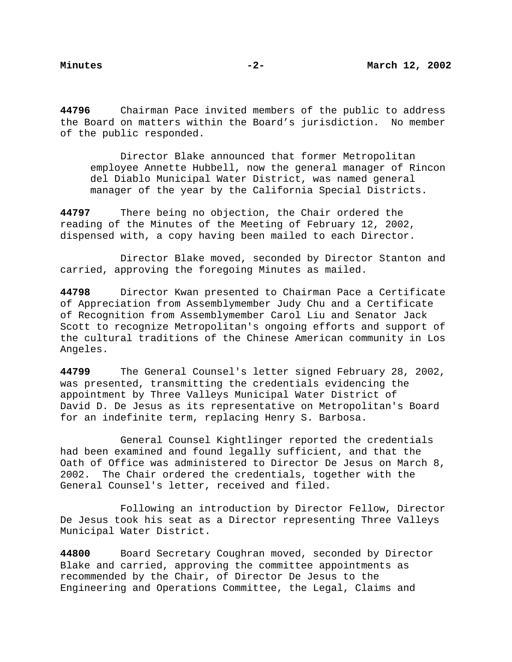**44796** Chairman Pace invited members of the public to address the Board on matters within the Board's jurisdiction. No member of the public responded.

Director Blake announced that former Metropolitan employee Annette Hubbell, now the general manager of Rincon del Diablo Municipal Water District, was named general manager of the year by the California Special Districts.

**44797** There being no objection, the Chair ordered the reading of the Minutes of the Meeting of February 12, 2002, dispensed with, a copy having been mailed to each Director.

Director Blake moved, seconded by Director Stanton and carried, approving the foregoing Minutes as mailed.

**44798** Director Kwan presented to Chairman Pace a Certificate of Appreciation from Assemblymember Judy Chu and a Certificate of Recognition from Assemblymember Carol Liu and Senator Jack Scott to recognize Metropolitan's ongoing efforts and support of the cultural traditions of the Chinese American community in Los Angeles.

**44799** The General Counsel's letter signed February 28, 2002, was presented, transmitting the credentials evidencing the appointment by Three Valleys Municipal Water District of David D. De Jesus as its representative on Metropolitan's Board for an indefinite term, replacing Henry S. Barbosa.

General Counsel Kightlinger reported the credentials had been examined and found legally sufficient, and that the Oath of Office was administered to Director De Jesus on March 8, 2002. The Chair ordered the credentials, together with the General Counsel's letter, received and filed.

Following an introduction by Director Fellow, Director De Jesus took his seat as a Director representing Three Valleys Municipal Water District.

**44800** Board Secretary Coughran moved, seconded by Director Blake and carried, approving the committee appointments as recommended by the Chair, of Director De Jesus to the Engineering and Operations Committee, the Legal, Claims and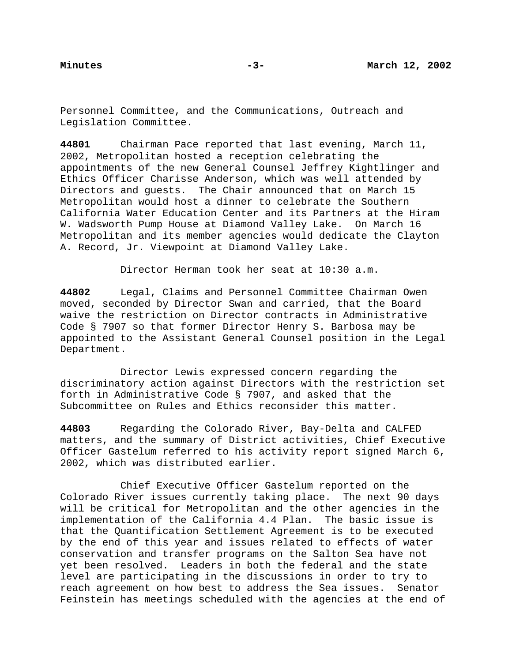Personnel Committee, and the Communications, Outreach and Legislation Committee.

**44801** Chairman Pace reported that last evening, March 11, 2002, Metropolitan hosted a reception celebrating the appointments of the new General Counsel Jeffrey Kightlinger and Ethics Officer Charisse Anderson, which was well attended by Directors and guests. The Chair announced that on March 15 Metropolitan would host a dinner to celebrate the Southern California Water Education Center and its Partners at the Hiram W. Wadsworth Pump House at Diamond Valley Lake. On March 16 Metropolitan and its member agencies would dedicate the Clayton A. Record, Jr. Viewpoint at Diamond Valley Lake.

Director Herman took her seat at 10:30 a.m.

**44802** Legal, Claims and Personnel Committee Chairman Owen moved, seconded by Director Swan and carried, that the Board waive the restriction on Director contracts in Administrative Code § 7907 so that former Director Henry S. Barbosa may be appointed to the Assistant General Counsel position in the Legal Department.

Director Lewis expressed concern regarding the discriminatory action against Directors with the restriction set forth in Administrative Code § 7907, and asked that the Subcommittee on Rules and Ethics reconsider this matter.

**44803** Regarding the Colorado River, Bay-Delta and CALFED matters, and the summary of District activities, Chief Executive Officer Gastelum referred to his activity report signed March 6, 2002, which was distributed earlier.

Chief Executive Officer Gastelum reported on the Colorado River issues currently taking place. The next 90 days will be critical for Metropolitan and the other agencies in the implementation of the California 4.4 Plan. The basic issue is that the Quantification Settlement Agreement is to be executed by the end of this year and issues related to effects of water conservation and transfer programs on the Salton Sea have not yet been resolved. Leaders in both the federal and the state level are participating in the discussions in order to try to reach agreement on how best to address the Sea issues. Senator Feinstein has meetings scheduled with the agencies at the end of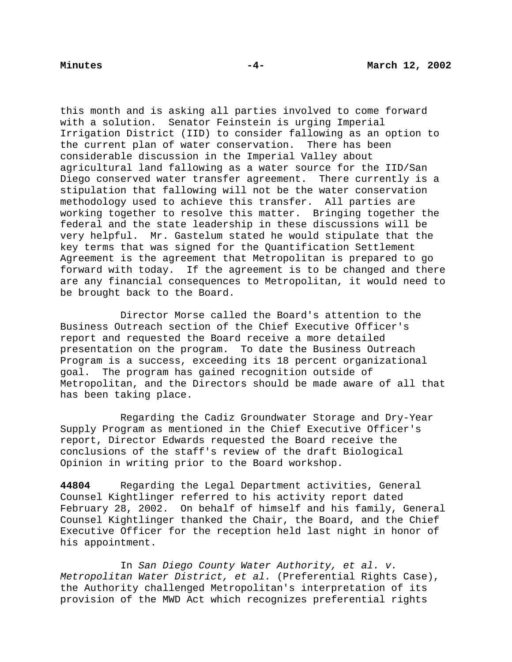this month and is asking all parties involved to come forward with a solution. Senator Feinstein is urging Imperial Irrigation District (IID) to consider fallowing as an option to the current plan of water conservation. There has been considerable discussion in the Imperial Valley about agricultural land fallowing as a water source for the IID/San Diego conserved water transfer agreement. There currently is a stipulation that fallowing will not be the water conservation methodology used to achieve this transfer. All parties are working together to resolve this matter. Bringing together the federal and the state leadership in these discussions will be very helpful. Mr. Gastelum stated he would stipulate that the key terms that was signed for the Quantification Settlement Agreement is the agreement that Metropolitan is prepared to go forward with today. If the agreement is to be changed and there are any financial consequences to Metropolitan, it would need to be brought back to the Board.

Director Morse called the Board's attention to the Business Outreach section of the Chief Executive Officer's report and requested the Board receive a more detailed presentation on the program. To date the Business Outreach Program is a success, exceeding its 18 percent organizational goal. The program has gained recognition outside of Metropolitan, and the Directors should be made aware of all that has been taking place.

Regarding the Cadiz Groundwater Storage and Dry-Year Supply Program as mentioned in the Chief Executive Officer's report, Director Edwards requested the Board receive the conclusions of the staff's review of the draft Biological Opinion in writing prior to the Board workshop.

**44804** Regarding the Legal Department activities, General Counsel Kightlinger referred to his activity report dated February 28, 2002. On behalf of himself and his family, General Counsel Kightlinger thanked the Chair, the Board, and the Chief Executive Officer for the reception held last night in honor of his appointment.

In San Diego County Water Authority, et al. v. Metropolitan Water District, et al. (Preferential Rights Case), the Authority challenged Metropolitan's interpretation of its provision of the MWD Act which recognizes preferential rights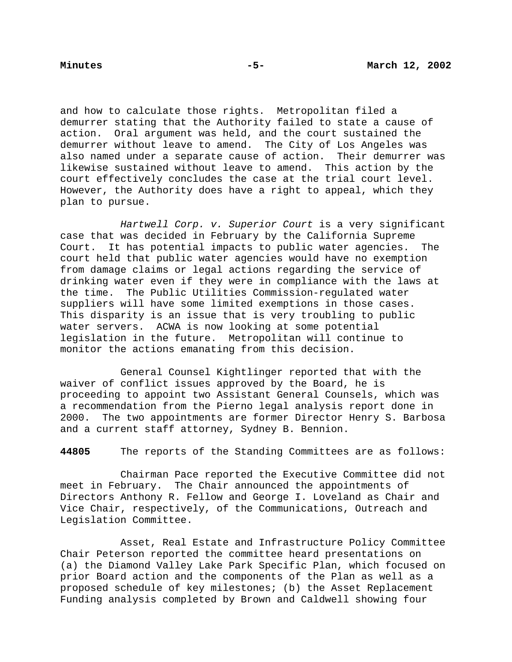and how to calculate those rights. Metropolitan filed a demurrer stating that the Authority failed to state a cause of action. Oral argument was held, and the court sustained the demurrer without leave to amend. The City of Los Angeles was also named under a separate cause of action. Their demurrer was likewise sustained without leave to amend. This action by the court effectively concludes the case at the trial court level. However, the Authority does have a right to appeal, which they plan to pursue.

Hartwell Corp. v. Superior Court is a very significant case that was decided in February by the California Supreme Court. It has potential impacts to public water agencies. The court held that public water agencies would have no exemption from damage claims or legal actions regarding the service of drinking water even if they were in compliance with the laws at the time. The Public Utilities Commission-regulated water suppliers will have some limited exemptions in those cases. This disparity is an issue that is very troubling to public water servers. ACWA is now looking at some potential legislation in the future. Metropolitan will continue to monitor the actions emanating from this decision.

General Counsel Kightlinger reported that with the waiver of conflict issues approved by the Board, he is proceeding to appoint two Assistant General Counsels, which was a recommendation from the Pierno legal analysis report done in 2000. The two appointments are former Director Henry S. Barbosa and a current staff attorney, Sydney B. Bennion.

**44805** The reports of the Standing Committees are as follows:

Chairman Pace reported the Executive Committee did not meet in February. The Chair announced the appointments of Directors Anthony R. Fellow and George I. Loveland as Chair and Vice Chair, respectively, of the Communications, Outreach and Legislation Committee.

Asset, Real Estate and Infrastructure Policy Committee Chair Peterson reported the committee heard presentations on (a) the Diamond Valley Lake Park Specific Plan, which focused on prior Board action and the components of the Plan as well as a proposed schedule of key milestones; (b) the Asset Replacement Funding analysis completed by Brown and Caldwell showing four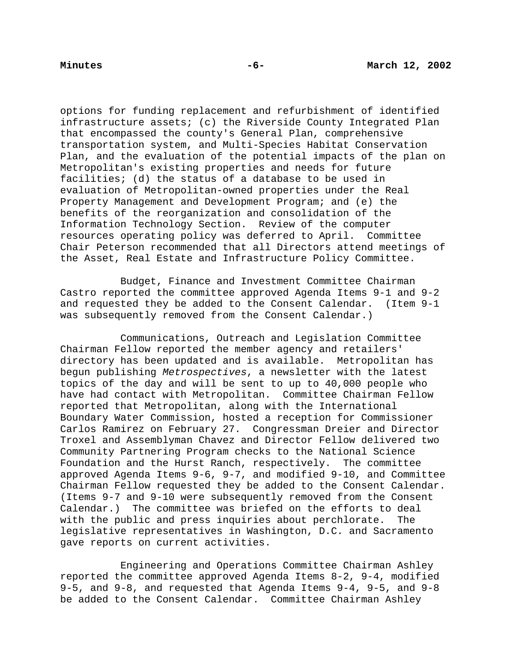options for funding replacement and refurbishment of identified infrastructure assets; (c) the Riverside County Integrated Plan that encompassed the county's General Plan, comprehensive transportation system, and Multi-Species Habitat Conservation Plan, and the evaluation of the potential impacts of the plan on Metropolitan's existing properties and needs for future facilities; (d) the status of a database to be used in evaluation of Metropolitan-owned properties under the Real Property Management and Development Program; and (e) the benefits of the reorganization and consolidation of the Information Technology Section. Review of the computer resources operating policy was deferred to April. Committee Chair Peterson recommended that all Directors attend meetings of the Asset, Real Estate and Infrastructure Policy Committee.

Budget, Finance and Investment Committee Chairman Castro reported the committee approved Agenda Items 9-1 and 9-2 and requested they be added to the Consent Calendar. (Item 9-1 was subsequently removed from the Consent Calendar.)

Communications, Outreach and Legislation Committee Chairman Fellow reported the member agency and retailers' directory has been updated and is available. Metropolitan has begun publishing Metrospectives, a newsletter with the latest topics of the day and will be sent to up to 40,000 people who have had contact with Metropolitan. Committee Chairman Fellow reported that Metropolitan, along with the International Boundary Water Commission, hosted a reception for Commissioner Carlos Ramirez on February 27. Congressman Dreier and Director Troxel and Assemblyman Chavez and Director Fellow delivered two Community Partnering Program checks to the National Science Foundation and the Hurst Ranch, respectively. The committee approved Agenda Items 9-6, 9-7, and modified 9-10, and Committee Chairman Fellow requested they be added to the Consent Calendar. (Items 9-7 and 9-10 were subsequently removed from the Consent Calendar.) The committee was briefed on the efforts to deal with the public and press inquiries about perchlorate. The legislative representatives in Washington, D.C. and Sacramento gave reports on current activities.

Engineering and Operations Committee Chairman Ashley reported the committee approved Agenda Items 8-2, 9-4, modified 9-5, and 9-8, and requested that Agenda Items 9-4, 9-5, and 9-8 be added to the Consent Calendar. Committee Chairman Ashley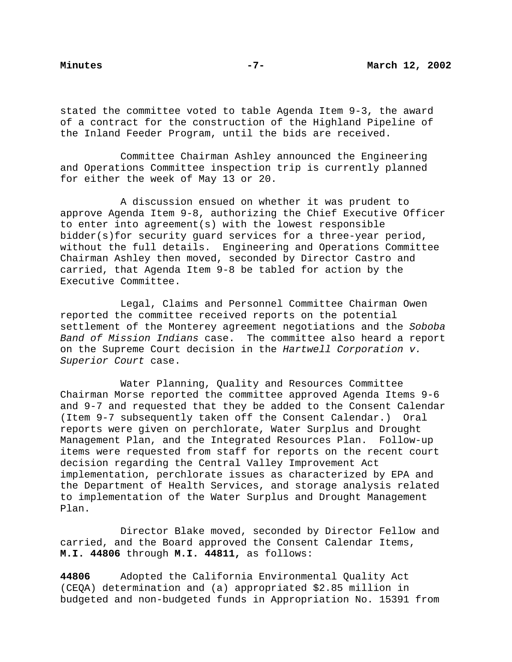stated the committee voted to table Agenda Item 9-3, the award of a contract for the construction of the Highland Pipeline of the Inland Feeder Program, until the bids are received.

Committee Chairman Ashley announced the Engineering and Operations Committee inspection trip is currently planned for either the week of May 13 or 20.

A discussion ensued on whether it was prudent to approve Agenda Item 9-8, authorizing the Chief Executive Officer to enter into agreement(s) with the lowest responsible bidder(s)for security guard services for a three-year period, without the full details. Engineering and Operations Committee Chairman Ashley then moved, seconded by Director Castro and carried, that Agenda Item 9-8 be tabled for action by the Executive Committee.

Legal, Claims and Personnel Committee Chairman Owen reported the committee received reports on the potential settlement of the Monterey agreement negotiations and the Soboba Band of Mission Indians case. The committee also heard a report on the Supreme Court decision in the Hartwell Corporation v. Superior Court case.

Water Planning, Quality and Resources Committee Chairman Morse reported the committee approved Agenda Items 9-6 and 9-7 and requested that they be added to the Consent Calendar (Item 9-7 subsequently taken off the Consent Calendar.) Oral reports were given on perchlorate, Water Surplus and Drought Management Plan, and the Integrated Resources Plan. Follow-up items were requested from staff for reports on the recent court decision regarding the Central Valley Improvement Act implementation, perchlorate issues as characterized by EPA and the Department of Health Services, and storage analysis related to implementation of the Water Surplus and Drought Management Plan.

Director Blake moved, seconded by Director Fellow and carried, and the Board approved the Consent Calendar Items, **M.I. 44806** through **M.I. 44811,** as follows:

**44806** Adopted the California Environmental Quality Act (CEQA) determination and (a) appropriated \$2.85 million in budgeted and non-budgeted funds in Appropriation No. 15391 from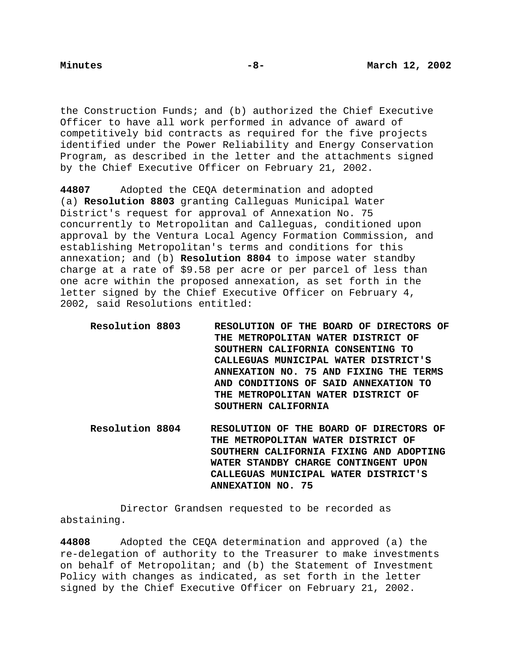the Construction Funds; and (b) authorized the Chief Executive Officer to have all work performed in advance of award of competitively bid contracts as required for the five projects identified under the Power Reliability and Energy Conservation Program, as described in the letter and the attachments signed by the Chief Executive Officer on February 21, 2002.

**44807** Adopted the CEQA determination and adopted (a) **Resolution 8803** granting Calleguas Municipal Water District's request for approval of Annexation No. 75 concurrently to Metropolitan and Calleguas, conditioned upon approval by the Ventura Local Agency Formation Commission, and establishing Metropolitan's terms and conditions for this annexation; and (b) **Resolution 8804** to impose water standby charge at a rate of \$9.58 per acre or per parcel of less than one acre within the proposed annexation, as set forth in the letter signed by the Chief Executive Officer on February 4, 2002, said Resolutions entitled:

- **Resolution 8803 RESOLUTION OF THE BOARD OF DIRECTORS OF THE METROPOLITAN WATER DISTRICT OF SOUTHERN CALIFORNIA CONSENTING TO CALLEGUAS MUNICIPAL WATER DISTRICT'S ANNEXATION NO. 75 AND FIXING THE TERMS AND CONDITIONS OF SAID ANNEXATION TO THE METROPOLITAN WATER DISTRICT OF SOUTHERN CALIFORNIA**
- **Resolution 8804 RESOLUTION OF THE BOARD OF DIRECTORS OF THE METROPOLITAN WATER DISTRICT OF SOUTHERN CALIFORNIA FIXING AND ADOPTING WATER STANDBY CHARGE CONTINGENT UPON CALLEGUAS MUNICIPAL WATER DISTRICT'S ANNEXATION NO. 75**

Director Grandsen requested to be recorded as abstaining.

**44808** Adopted the CEQA determination and approved (a) the re-delegation of authority to the Treasurer to make investments on behalf of Metropolitan; and (b) the Statement of Investment Policy with changes as indicated, as set forth in the letter signed by the Chief Executive Officer on February 21, 2002.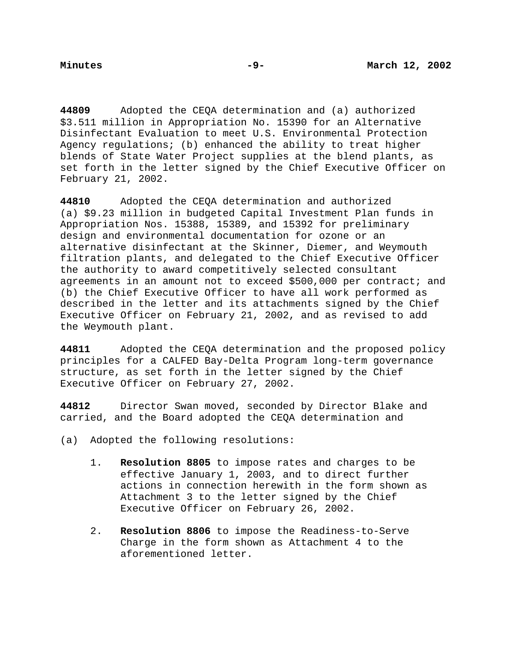**44809** Adopted the CEQA determination and (a) authorized \$3.511 million in Appropriation No. 15390 for an Alternative Disinfectant Evaluation to meet U.S. Environmental Protection Agency regulations; (b) enhanced the ability to treat higher blends of State Water Project supplies at the blend plants, as set forth in the letter signed by the Chief Executive Officer on February 21, 2002.

**44810** Adopted the CEQA determination and authorized (a) \$9.23 million in budgeted Capital Investment Plan funds in Appropriation Nos. 15388, 15389, and 15392 for preliminary design and environmental documentation for ozone or an alternative disinfectant at the Skinner, Diemer, and Weymouth filtration plants, and delegated to the Chief Executive Officer the authority to award competitively selected consultant agreements in an amount not to exceed \$500,000 per contract; and (b) the Chief Executive Officer to have all work performed as described in the letter and its attachments signed by the Chief Executive Officer on February 21, 2002, and as revised to add the Weymouth plant.

**44811** Adopted the CEQA determination and the proposed policy principles for a CALFED Bay-Delta Program long-term governance structure, as set forth in the letter signed by the Chief Executive Officer on February 27, 2002.

**44812** Director Swan moved, seconded by Director Blake and carried, and the Board adopted the CEQA determination and

(a) Adopted the following resolutions:

- 1. **Resolution 8805** to impose rates and charges to be effective January 1, 2003, and to direct further actions in connection herewith in the form shown as Attachment 3 to the letter signed by the Chief Executive Officer on February 26, 2002.
- 2. **Resolution 8806** to impose the Readiness-to-Serve Charge in the form shown as Attachment 4 to the aforementioned letter.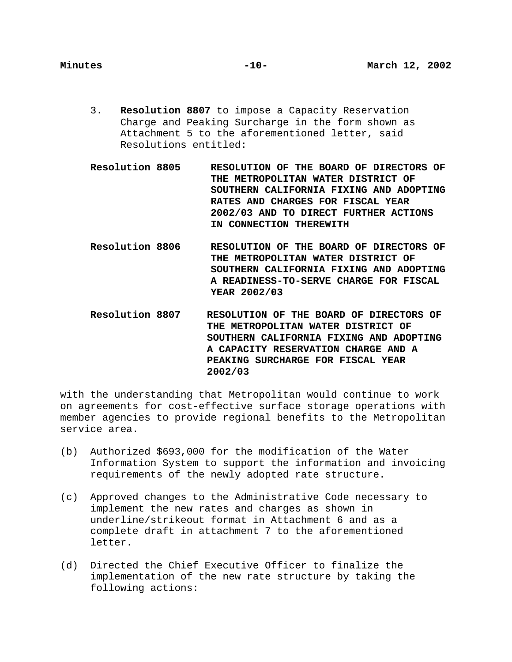- 3. **Resolution 8807** to impose a Capacity Reservation Charge and Peaking Surcharge in the form shown as Attachment 5 to the aforementioned letter, said Resolutions entitled:
- **Resolution 8805 RESOLUTION OF THE BOARD OF DIRECTORS OF THE METROPOLITAN WATER DISTRICT OF SOUTHERN CALIFORNIA FIXING AND ADOPTING RATES AND CHARGES FOR FISCAL YEAR 2002/03 AND TO DIRECT FURTHER ACTIONS IN CONNECTION THEREWITH**
- **Resolution 8806 RESOLUTION OF THE BOARD OF DIRECTORS OF THE METROPOLITAN WATER DISTRICT OF SOUTHERN CALIFORNIA FIXING AND ADOPTING A READINESS-TO-SERVE CHARGE FOR FISCAL YEAR 2002/03**
- **Resolution 8807 RESOLUTION OF THE BOARD OF DIRECTORS OF THE METROPOLITAN WATER DISTRICT OF SOUTHERN CALIFORNIA FIXING AND ADOPTING A CAPACITY RESERVATION CHARGE AND A PEAKING SURCHARGE FOR FISCAL YEAR 2002/03**

with the understanding that Metropolitan would continue to work on agreements for cost-effective surface storage operations with member agencies to provide regional benefits to the Metropolitan service area.

- (b) Authorized \$693,000 for the modification of the Water Information System to support the information and invoicing requirements of the newly adopted rate structure.
- (c) Approved changes to the Administrative Code necessary to implement the new rates and charges as shown in underline/strikeout format in Attachment 6 and as a complete draft in attachment 7 to the aforementioned letter.
- (d) Directed the Chief Executive Officer to finalize the implementation of the new rate structure by taking the following actions: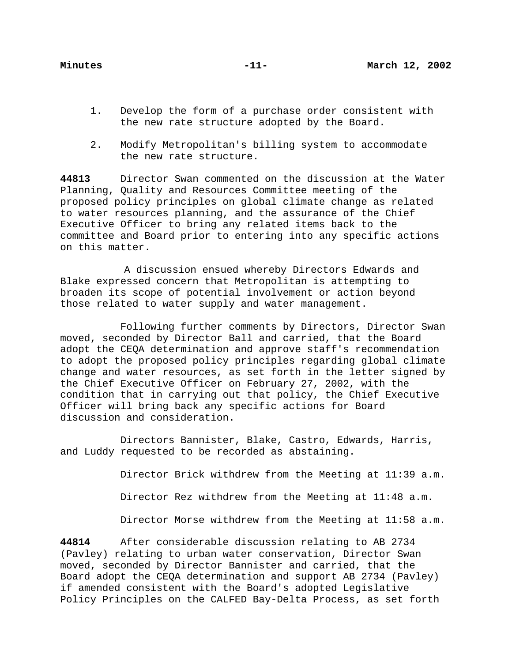- 1. Develop the form of a purchase order consistent with the new rate structure adopted by the Board.
- 2. Modify Metropolitan's billing system to accommodate the new rate structure.

**44813** Director Swan commented on the discussion at the Water Planning, Quality and Resources Committee meeting of the proposed policy principles on global climate change as related to water resources planning, and the assurance of the Chief Executive Officer to bring any related items back to the committee and Board prior to entering into any specific actions on this matter.

A discussion ensued whereby Directors Edwards and Blake expressed concern that Metropolitan is attempting to broaden its scope of potential involvement or action beyond those related to water supply and water management.

Following further comments by Directors, Director Swan moved, seconded by Director Ball and carried, that the Board adopt the CEQA determination and approve staff's recommendation to adopt the proposed policy principles regarding global climate change and water resources, as set forth in the letter signed by the Chief Executive Officer on February 27, 2002, with the condition that in carrying out that policy, the Chief Executive Officer will bring back any specific actions for Board discussion and consideration.

Directors Bannister, Blake, Castro, Edwards, Harris, and Luddy requested to be recorded as abstaining.

Director Brick withdrew from the Meeting at 11:39 a.m.

Director Rez withdrew from the Meeting at 11:48 a.m.

Director Morse withdrew from the Meeting at 11:58 a.m.

**44814** After considerable discussion relating to AB 2734 (Pavley) relating to urban water conservation, Director Swan moved, seconded by Director Bannister and carried, that the Board adopt the CEQA determination and support AB 2734 (Pavley) if amended consistent with the Board's adopted Legislative Policy Principles on the CALFED Bay-Delta Process, as set forth